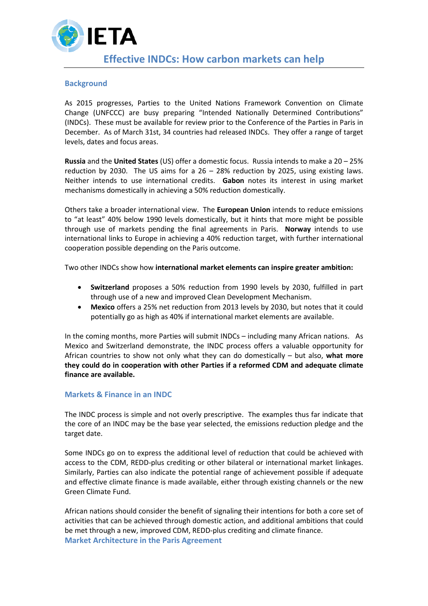

## **Background**

As 2015 progresses, Parties to the United Nations Framework Convention on Climate Change (UNFCCC) are busy preparing "Intended Nationally Determined Contributions" (INDCs). These must be available for review prior to the Conference of the Parties in Paris in December. As of March 31st, 34 countries had released INDCs. They offer a range of target levels, dates and focus areas.

**Russia** and the **United States** (US) offer a domestic focus. Russia intends to make a 20 – 25% reduction by 2030. The US aims for a  $26 - 28%$  reduction by 2025, using existing laws. Neither intends to use international credits. **Gabon** notes its interest in using market mechanisms domestically in achieving a 50% reduction domestically.

Others take a broader international view. The **European Union** intends to reduce emissions to "at least" 40% below 1990 levels domestically, but it hints that more might be possible through use of markets pending the final agreements in Paris. **Norway** intends to use international links to Europe in achieving a 40% reduction target, with further international cooperation possible depending on the Paris outcome.

Two other INDCs show how **international market elements can inspire greater ambition:**

- **Switzerland** proposes a 50% reduction from 1990 levels by 2030, fulfilled in part through use of a new and improved Clean Development Mechanism.
- **Mexico** offers a 25% net reduction from 2013 levels by 2030, but notes that it could potentially go as high as 40% if international market elements are available.

In the coming months, more Parties will submit INDCs – including many African nations. As Mexico and Switzerland demonstrate, the INDC process offers a valuable opportunity for African countries to show not only what they can do domestically – but also, **what more they could do in cooperation with other Parties if a reformed CDM and adequate climate finance are available.**

## **Markets & Finance in an INDC**

The INDC process is simple and not overly prescriptive. The examples thus far indicate that the core of an INDC may be the base year selected, the emissions reduction pledge and the target date.

Some INDCs go on to express the additional level of reduction that could be achieved with access to the CDM, REDD-plus crediting or other bilateral or international market linkages. Similarly, Parties can also indicate the potential range of achievement possible if adequate and effective climate finance is made available, either through existing channels or the new Green Climate Fund.

African nations should consider the benefit of signaling their intentions for both a core set of activities that can be achieved through domestic action, and additional ambitions that could be met through a new, improved CDM, REDD-plus crediting and climate finance. **Market Architecture in the Paris Agreement**